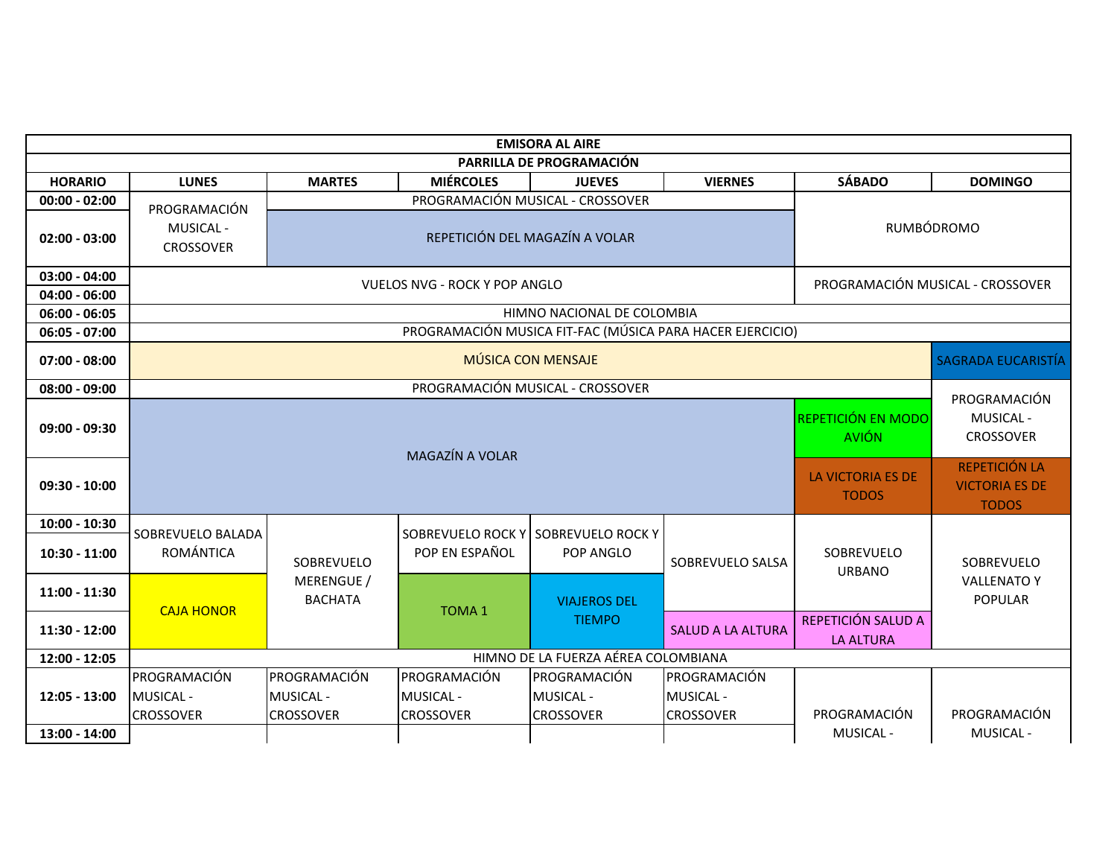| <b>EMISORA AL AIRE</b>   |                                                                                      |                                                     |                                                        |                                                     |                                                      |                                        |                                                    |  |  |  |  |  |
|--------------------------|--------------------------------------------------------------------------------------|-----------------------------------------------------|--------------------------------------------------------|-----------------------------------------------------|------------------------------------------------------|----------------------------------------|----------------------------------------------------|--|--|--|--|--|
| PARRILLA DE PROGRAMACIÓN |                                                                                      |                                                     |                                                        |                                                     |                                                      |                                        |                                                    |  |  |  |  |  |
| <b>HORARIO</b>           | <b>LUNES</b>                                                                         | <b>MARTES</b>                                       | <b>MIÉRCOLES</b>                                       | <b>JUEVES</b>                                       | <b>VIERNES</b>                                       | <b>SÁBADO</b>                          | <b>DOMINGO</b>                                     |  |  |  |  |  |
| $00:00 - 02:00$          | PROGRAMACIÓN                                                                         |                                                     |                                                        |                                                     |                                                      |                                        |                                                    |  |  |  |  |  |
| $02:00 - 03:00$          | RUMBÓDROMO<br><b>MUSICAL -</b><br>REPETICIÓN DEL MAGAZÍN A VOLAR<br><b>CROSSOVER</b> |                                                     |                                                        |                                                     |                                                      |                                        |                                                    |  |  |  |  |  |
| $03:00 - 04:00$          | PROGRAMACIÓN MUSICAL - CROSSOVER<br><b>VUELOS NVG - ROCK Y POP ANGLO</b>             |                                                     |                                                        |                                                     |                                                      |                                        |                                                    |  |  |  |  |  |
| $04:00 - 06:00$          |                                                                                      |                                                     |                                                        |                                                     |                                                      |                                        |                                                    |  |  |  |  |  |
| $06:00 - 06:05$          | HIMNO NACIONAL DE COLOMBIA                                                           |                                                     |                                                        |                                                     |                                                      |                                        |                                                    |  |  |  |  |  |
| $06:05 - 07:00$          | PROGRAMACIÓN MUSICA FIT-FAC (MÚSICA PARA HACER EJERCICIO)                            |                                                     |                                                        |                                                     |                                                      |                                        |                                                    |  |  |  |  |  |
| $07:00 - 08:00$          | <b>MÚSICA CON MENSAJE</b>                                                            |                                                     |                                                        |                                                     |                                                      |                                        |                                                    |  |  |  |  |  |
| $08:00 - 09:00$          | PROGRAMACIÓN MUSICAL - CROSSOVER<br>PROGRAMACIÓN                                     |                                                     |                                                        |                                                     |                                                      |                                        |                                                    |  |  |  |  |  |
| $09:00 - 09:30$          | <b>REPETICIÓN EN MODO</b><br><b>AVIÓN</b><br><b>MAGAZÍN A VOLAR</b>                  |                                                     |                                                        |                                                     |                                                      |                                        |                                                    |  |  |  |  |  |
| $09:30 - 10:00$          |                                                                                      | LA VICTORIA ES DE<br><b>TODOS</b>                   | REPETICIÓN LA<br><b>VICTORIA ES DE</b><br><b>TODOS</b> |                                                     |                                                      |                                        |                                                    |  |  |  |  |  |
| $10:00 - 10:30$          | SOBREVUELO BALADA                                                                    |                                                     |                                                        | SOBREVUELO ROCK Y SOBREVUELO ROCK Y                 |                                                      |                                        |                                                    |  |  |  |  |  |
| $10:30 - 11:00$          | ROMÁNTICA                                                                            | SOBREVUELO<br>MERENGUE /<br><b>BACHATA</b>          | POP EN ESPAÑOL                                         | POP ANGLO                                           | SOBREVUELO SALSA                                     | SOBREVUELO<br><b>URBANO</b>            | SOBREVUELO<br><b>VALLENATO Y</b><br><b>POPULAR</b> |  |  |  |  |  |
| $11:00 - 11:30$          | <b>CAJA HONOR</b>                                                                    |                                                     | <b>TOMA1</b>                                           | <b>VIAJEROS DEL</b><br><b>TIEMPO</b>                |                                                      |                                        |                                                    |  |  |  |  |  |
| $11:30 - 12:00$          |                                                                                      |                                                     |                                                        |                                                     | <b>SALUD A LA ALTURA</b>                             | REPETICIÓN SALUD A<br><b>LA ALTURA</b> |                                                    |  |  |  |  |  |
| 12:00 - 12:05            | HIMNO DE LA FUERZA AÉREA COLOMBIANA                                                  |                                                     |                                                        |                                                     |                                                      |                                        |                                                    |  |  |  |  |  |
| 12:05 - 13:00            | PROGRAMACIÓN<br><b>MUSICAL-</b><br><b>CROSSOVER</b>                                  | PROGRAMACIÓN<br><b>MUSICAL-</b><br><b>CROSSOVER</b> | PROGRAMACIÓN<br><b>MUSICAL -</b><br><b>CROSSOVER</b>   | PROGRAMACIÓN<br><b>MUSICAL-</b><br><b>CROSSOVER</b> | PROGRAMACIÓN<br><b>MUSICAL -</b><br><b>CROSSOVER</b> | PROGRAMACIÓN                           | PROGRAMACIÓN                                       |  |  |  |  |  |
| 13:00 - 14:00            |                                                                                      |                                                     |                                                        |                                                     |                                                      | MUSICAL -                              | <b>MUSICAL -</b>                                   |  |  |  |  |  |